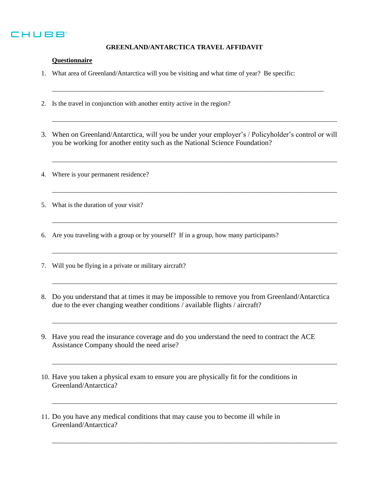

## **GREENLAND/ANTARCTICA TRAVEL AFFIDAVIT**

\_\_\_\_\_\_\_\_\_\_\_\_\_\_\_\_\_\_\_\_\_\_\_\_\_\_\_\_\_\_\_\_\_\_\_\_\_\_\_\_\_\_\_\_\_\_\_\_\_\_\_\_\_\_\_\_\_\_\_\_\_\_\_\_\_\_\_\_\_\_\_\_\_\_\_\_\_\_\_\_\_\_

## **Questionnaire**

- 1. What area of Greenland/Antarctica will you be visiting and what time of year? Be specific:
- 2. Is the travel in conjunction with another entity active in the region?
- 3. When on Greenland/Antarctica, will you be under your employer's / Policyholder's control or will you be working for another entity such as the National Science Foundation?

\_\_\_\_\_\_\_\_\_\_\_\_\_\_\_\_\_\_\_\_\_\_\_\_\_\_\_\_\_\_\_\_\_\_\_\_\_\_\_\_\_\_\_\_\_\_\_\_\_\_\_\_\_\_\_\_\_\_\_\_\_\_\_\_\_\_\_\_\_\_\_\_\_\_\_\_\_\_\_\_\_\_\_\_\_\_

\_\_\_\_\_\_\_\_\_\_\_\_\_\_\_\_\_\_\_\_\_\_\_\_\_\_\_\_\_\_\_\_\_\_\_\_\_\_\_\_\_\_\_\_\_\_\_\_\_\_\_\_\_\_\_\_\_\_\_\_\_\_\_\_\_\_\_\_\_\_\_\_\_\_\_\_\_\_\_\_\_\_\_\_\_\_

\_\_\_\_\_\_\_\_\_\_\_\_\_\_\_\_\_\_\_\_\_\_\_\_\_\_\_\_\_\_\_\_\_\_\_\_\_\_\_\_\_\_\_\_\_\_\_\_\_\_\_\_\_\_\_\_\_\_\_\_\_\_\_\_\_\_\_\_\_\_\_\_\_\_\_\_\_\_\_\_\_\_\_\_\_\_

\_\_\_\_\_\_\_\_\_\_\_\_\_\_\_\_\_\_\_\_\_\_\_\_\_\_\_\_\_\_\_\_\_\_\_\_\_\_\_\_\_\_\_\_\_\_\_\_\_\_\_\_\_\_\_\_\_\_\_\_\_\_\_\_\_\_\_\_\_\_\_\_\_\_\_\_\_\_\_\_\_\_\_\_\_\_

\_\_\_\_\_\_\_\_\_\_\_\_\_\_\_\_\_\_\_\_\_\_\_\_\_\_\_\_\_\_\_\_\_\_\_\_\_\_\_\_\_\_\_\_\_\_\_\_\_\_\_\_\_\_\_\_\_\_\_\_\_\_\_\_\_\_\_\_\_\_\_\_\_\_\_\_\_\_\_\_\_\_\_\_\_\_

\_\_\_\_\_\_\_\_\_\_\_\_\_\_\_\_\_\_\_\_\_\_\_\_\_\_\_\_\_\_\_\_\_\_\_\_\_\_\_\_\_\_\_\_\_\_\_\_\_\_\_\_\_\_\_\_\_\_\_\_\_\_\_\_\_\_\_\_\_\_\_\_\_\_\_\_\_\_\_\_\_\_\_\_\_\_

\_\_\_\_\_\_\_\_\_\_\_\_\_\_\_\_\_\_\_\_\_\_\_\_\_\_\_\_\_\_\_\_\_\_\_\_\_\_\_\_\_\_\_\_\_\_\_\_\_\_\_\_\_\_\_\_\_\_\_\_\_\_\_\_\_\_\_\_\_\_\_\_\_\_\_\_\_\_\_\_\_\_\_\_\_\_

\_\_\_\_\_\_\_\_\_\_\_\_\_\_\_\_\_\_\_\_\_\_\_\_\_\_\_\_\_\_\_\_\_\_\_\_\_\_\_\_\_\_\_\_\_\_\_\_\_\_\_\_\_\_\_\_\_\_\_\_\_\_\_\_\_\_\_\_\_\_\_\_\_\_\_\_\_\_\_\_\_\_\_\_\_\_

\_\_\_\_\_\_\_\_\_\_\_\_\_\_\_\_\_\_\_\_\_\_\_\_\_\_\_\_\_\_\_\_\_\_\_\_\_\_\_\_\_\_\_\_\_\_\_\_\_\_\_\_\_\_\_\_\_\_\_\_\_\_\_\_\_\_\_\_\_\_\_\_\_\_\_\_\_\_\_\_\_\_\_\_\_\_

\_\_\_\_\_\_\_\_\_\_\_\_\_\_\_\_\_\_\_\_\_\_\_\_\_\_\_\_\_\_\_\_\_\_\_\_\_\_\_\_\_\_\_\_\_\_\_\_\_\_\_\_\_\_\_\_\_\_\_\_\_\_\_\_\_\_\_\_\_\_\_\_\_\_\_\_\_\_\_\_\_\_\_\_\_\_

- 4. Where is your permanent residence?
- 5. What is the duration of your visit?
- 6. Are you traveling with a group or by yourself? If in a group, how many participants?
- 7. Will you be flying in a private or military aircraft?
- 8. Do you understand that at times it may be impossible to remove you from Greenland/Antarctica due to the ever changing weather conditions / available flights / aircraft?
- 9. Have you read the insurance coverage and do you understand the need to contract the ACE Assistance Company should the need arise?
- 10. Have you taken a physical exam to ensure you are physically fit for the conditions in Greenland/Antarctica?
- 11. Do you have any medical conditions that may cause you to become ill while in Greenland/Antarctica?